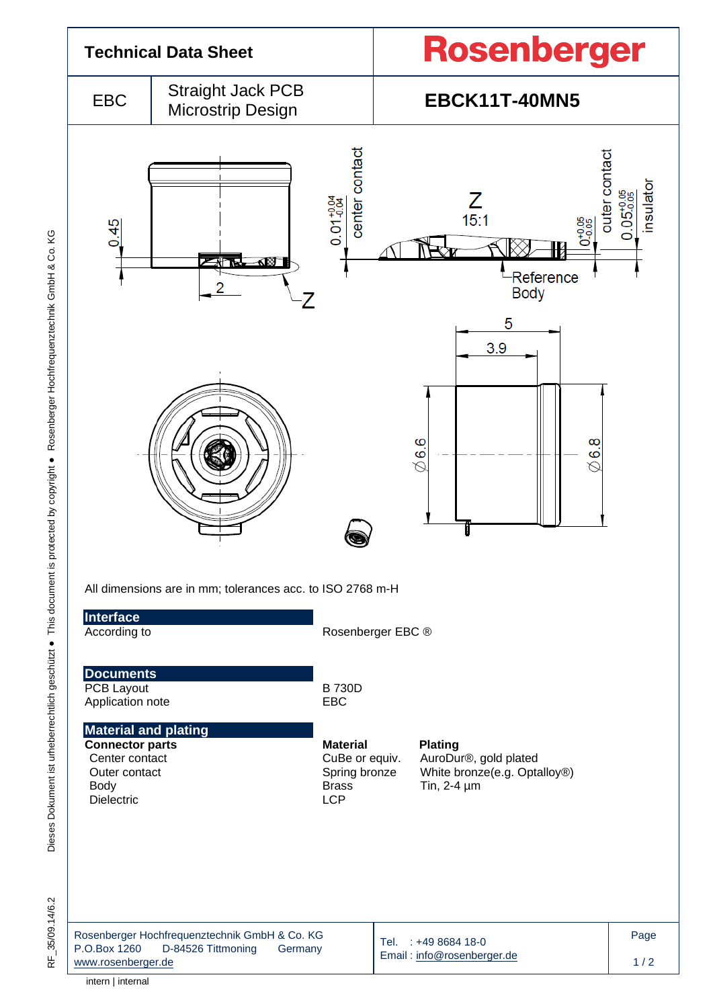

Dieses Dokument ist urheberrechtlich geschützt · This document is protected by copyright · Rosenberger Hochfrequenztechnik GmbH & Co. KG Dieses Dokument ist urheberrechtlich geschützt ● This document is protected by copyright ● Rosenberger Hochfrequenztechnik GmbH & Co. KG

intern | internal

RF\_35/09.14/6.2

35/09.14/6.2

눈